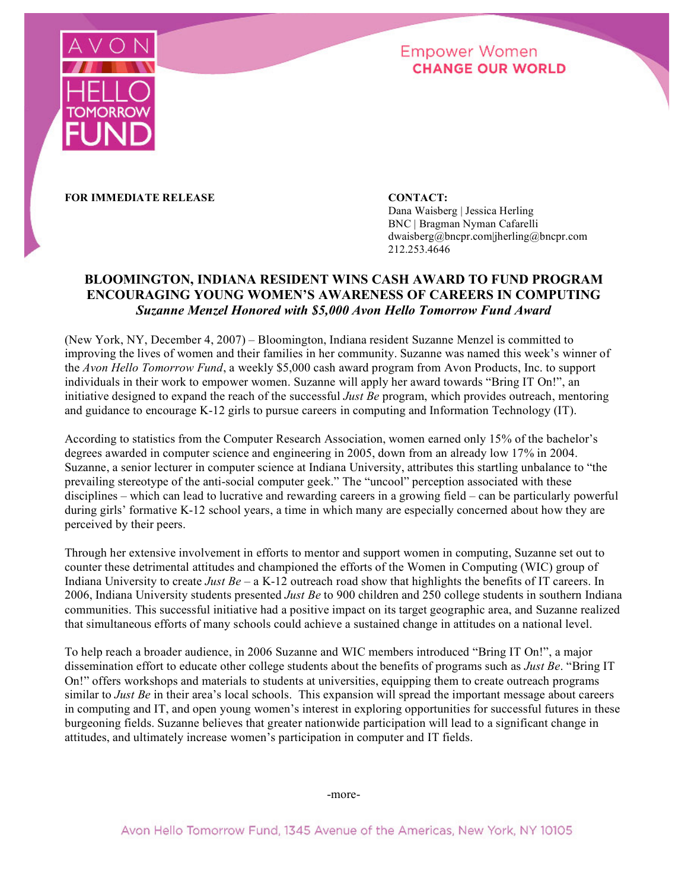

# **Empower Women CHANGE OUR WORLD**

**FOR IMMEDIATE RELEASE CONTACT:**

Dana Waisberg | Jessica Herling BNC | Bragman Nyman Cafarelli dwaisberg@bncpr.com|jherling@bncpr.com 212.253.4646

# **BLOOMINGTON, INDIANA RESIDENT WINS CASH AWARD TO FUND PROGRAM ENCOURAGING YOUNG WOMEN'S AWARENESS OF CAREERS IN COMPUTING** *Suzanne Menzel Honored with \$5,000 Avon Hello Tomorrow Fund Award*

(New York, NY, December 4, 2007) – Bloomington, Indiana resident Suzanne Menzel is committed to improving the lives of women and their families in her community. Suzanne was named this week's winner of the *Avon Hello Tomorrow Fund*, a weekly \$5,000 cash award program from Avon Products, Inc. to support individuals in their work to empower women. Suzanne will apply her award towards "Bring IT On!", an initiative designed to expand the reach of the successful *Just Be* program, which provides outreach, mentoring and guidance to encourage K-12 girls to pursue careers in computing and Information Technology (IT).

According to statistics from the Computer Research Association, women earned only 15% of the bachelor's degrees awarded in computer science and engineering in 2005, down from an already low 17% in 2004. Suzanne, a senior lecturer in computer science at Indiana University, attributes this startling unbalance to "the prevailing stereotype of the anti-social computer geek." The "uncool" perception associated with these disciplines – which can lead to lucrative and rewarding careers in a growing field – can be particularly powerful during girls' formative K-12 school years, a time in which many are especially concerned about how they are perceived by their peers.

Through her extensive involvement in efforts to mentor and support women in computing, Suzanne set out to counter these detrimental attitudes and championed the efforts of the Women in Computing (WIC) group of Indiana University to create *Just Be* – a K-12 outreach road show that highlights the benefits of IT careers. In 2006, Indiana University students presented *Just Be* to 900 children and 250 college students in southern Indiana communities. This successful initiative had a positive impact on its target geographic area, and Suzanne realized that simultaneous efforts of many schools could achieve a sustained change in attitudes on a national level.

To help reach a broader audience, in 2006 Suzanne and WIC members introduced "Bring IT On!", a major dissemination effort to educate other college students about the benefits of programs such as *Just Be*. "Bring IT On!" offers workshops and materials to students at universities, equipping them to create outreach programs similar to *Just Be* in their area's local schools. This expansion will spread the important message about careers in computing and IT, and open young women's interest in exploring opportunities for successful futures in these burgeoning fields. Suzanne believes that greater nationwide participation will lead to a significant change in attitudes, and ultimately increase women's participation in computer and IT fields.

-more-

Avon Hello Tomorrow Fund, 1345 Avenue of the Americas, New York, NY 10105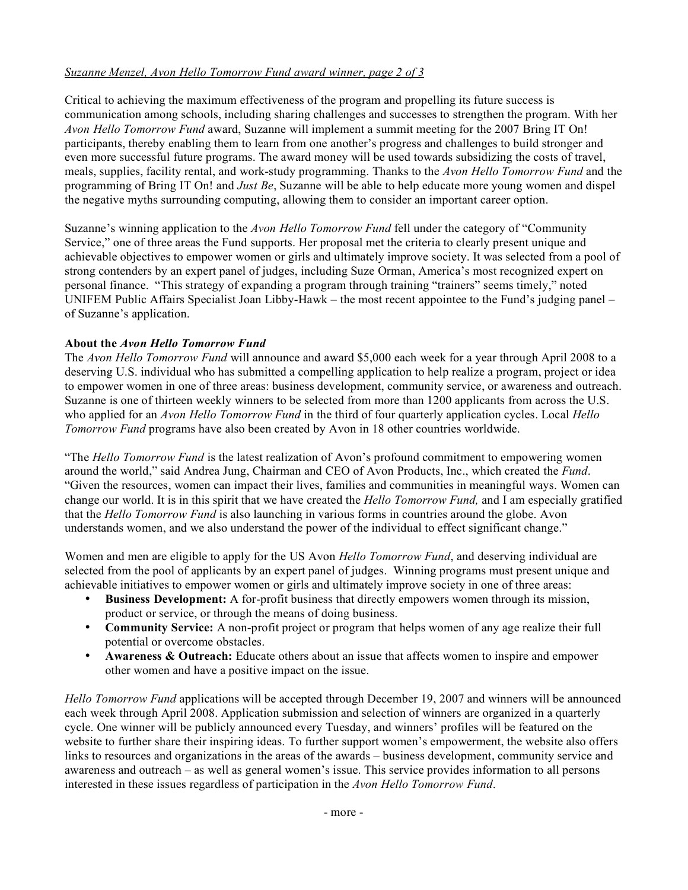## *Suzanne Menzel, Avon Hello Tomorrow Fund award winner, page 2 of 3*

Critical to achieving the maximum effectiveness of the program and propelling its future success is communication among schools, including sharing challenges and successes to strengthen the program. With her *Avon Hello Tomorrow Fund* award, Suzanne will implement a summit meeting for the 2007 Bring IT On! participants, thereby enabling them to learn from one another's progress and challenges to build stronger and even more successful future programs. The award money will be used towards subsidizing the costs of travel, meals, supplies, facility rental, and work-study programming. Thanks to the *Avon Hello Tomorrow Fund* and the programming of Bring IT On! and *Just Be*, Suzanne will be able to help educate more young women and dispel the negative myths surrounding computing, allowing them to consider an important career option.

Suzanne's winning application to the *Avon Hello Tomorrow Fund* fell under the category of "Community Service," one of three areas the Fund supports. Her proposal met the criteria to clearly present unique and achievable objectives to empower women or girls and ultimately improve society. It was selected from a pool of strong contenders by an expert panel of judges, including Suze Orman, America's most recognized expert on personal finance. "This strategy of expanding a program through training "trainers" seems timely," noted UNIFEM Public Affairs Specialist Joan Libby-Hawk – the most recent appointee to the Fund's judging panel – of Suzanne's application.

#### **About the** *Avon Hello Tomorrow Fund*

The *Avon Hello Tomorrow Fund* will announce and award \$5,000 each week for a year through April 2008 to a deserving U.S. individual who has submitted a compelling application to help realize a program, project or idea to empower women in one of three areas: business development, community service, or awareness and outreach. Suzanne is one of thirteen weekly winners to be selected from more than 1200 applicants from across the U.S. who applied for an *Avon Hello Tomorrow Fund* in the third of four quarterly application cycles. Local *Hello Tomorrow Fund* programs have also been created by Avon in 18 other countries worldwide.

"The *Hello Tomorrow Fund* is the latest realization of Avon's profound commitment to empowering women around the world," said Andrea Jung, Chairman and CEO of Avon Products, Inc., which created the *Fund*. "Given the resources, women can impact their lives, families and communities in meaningful ways. Women can change our world. It is in this spirit that we have created the *Hello Tomorrow Fund,* and I am especially gratified that the *Hello Tomorrow Fund* is also launching in various forms in countries around the globe. Avon understands women, and we also understand the power of the individual to effect significant change."

Women and men are eligible to apply for the US Avon *Hello Tomorrow Fund*, and deserving individual are selected from the pool of applicants by an expert panel of judges. Winning programs must present unique and achievable initiatives to empower women or girls and ultimately improve society in one of three areas:

- **Business Development:** A for-profit business that directly empowers women through its mission, product or service, or through the means of doing business.
- **Community Service:** A non-profit project or program that helps women of any age realize their full potential or overcome obstacles.
- **Awareness & Outreach:** Educate others about an issue that affects women to inspire and empower other women and have a positive impact on the issue.

*Hello Tomorrow Fund* applications will be accepted through December 19, 2007 and winners will be announced each week through April 2008. Application submission and selection of winners are organized in a quarterly cycle. One winner will be publicly announced every Tuesday, and winners' profiles will be featured on the website to further share their inspiring ideas. To further support women's empowerment, the website also offers links to resources and organizations in the areas of the awards – business development, community service and awareness and outreach – as well as general women's issue. This service provides information to all persons interested in these issues regardless of participation in the *Avon Hello Tomorrow Fund*.